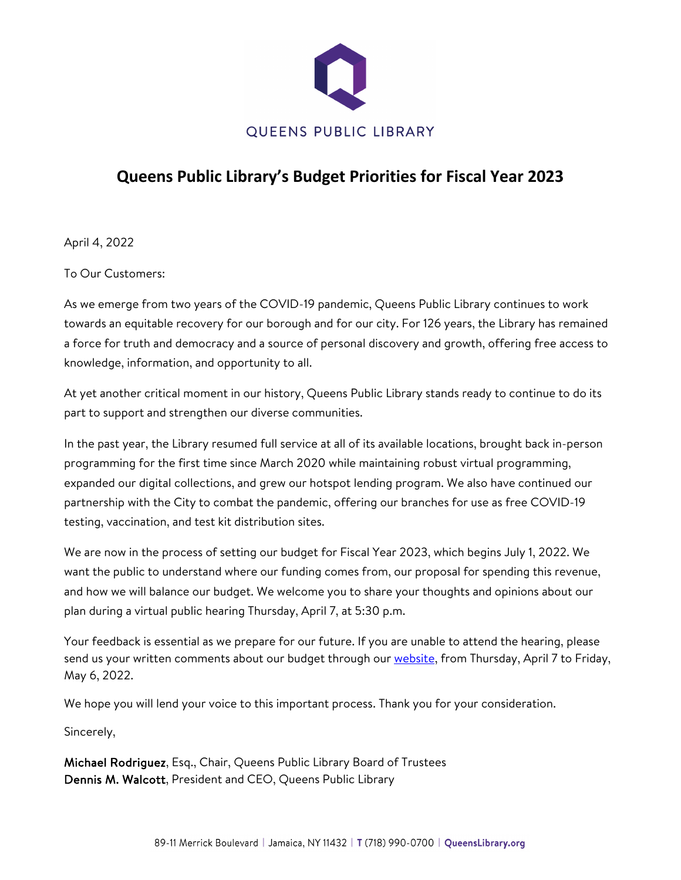

## **Queens Public Library's Budget Priorities for Fiscal Year 2023**

April 4, 2022

To Our Customers:

As we emerge from two years of the COVID-19 pandemic, Queens Public Library continues to work towards an equitable recovery for our borough and for our city. For 126 years, the Library has remained a force for truth and democracy and a source of personal discovery and growth, offering free access to knowledge, information, and opportunity to all.

At yet another critical moment in our history, Queens Public Library stands ready to continue to do its part to support and strengthen our diverse communities.

In the past year, the Library resumed full service at all of its available locations, brought back in-person programming for the first time since March 2020 while maintaining robust virtual programming, expanded our digital collections, and grew our hotspot lending program. We also have continued our partnership with the City to combat the pandemic, offering our branches for use as free COVID-19 testing, vaccination, and test kit distribution sites.

We are now in the process of setting our budget for Fiscal Year 2023, which begins July 1, 2022. We want the public to understand where our funding comes from, our proposal for spending this revenue, and how we will balance our budget. We welcome you to share your thoughts and opinions about our plan during a virtual public hearing Thursday, April 7, at 5:30 p.m.

Your feedback is essential as we prepare for our future. If you are unable to attend the hearing, please send us your written comments about our budget through our [website,](https://queenslibrary.org/about-us/queens-public-library-overview/financials/annual-budgets/budget-feedback) from Thursday, April 7 to Friday, May 6, 2022.

We hope you will lend your voice to this important process. Thank you for your consideration.

Sincerely,

Michael Rodriguez, Esq., Chair, Queens Public Library Board of Trustees Dennis M. Walcott, President and CEO, Queens Public Library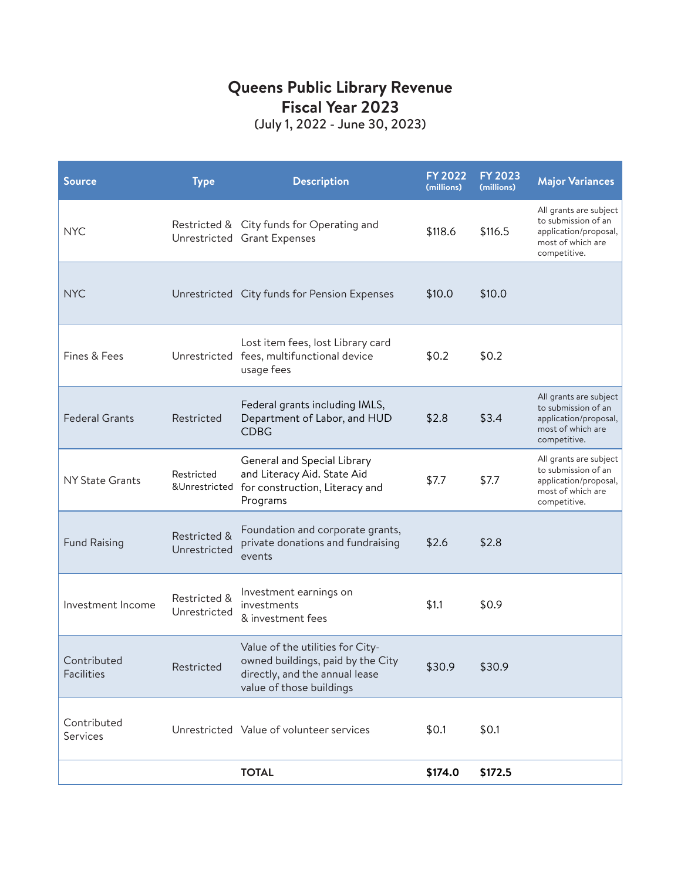# **Queens Public Library Revenue Fiscal Year 2023**

(July 1, 2022 - June 30, 2023)

| <b>Source</b>                    | <b>Type</b>                  | <b>Description</b>                                                                                                                  | <b>FY 2022</b><br>(millions) | <b>FY 2023</b><br>(millions) | <b>Major Variances</b>                                                                                      |
|----------------------------------|------------------------------|-------------------------------------------------------------------------------------------------------------------------------------|------------------------------|------------------------------|-------------------------------------------------------------------------------------------------------------|
| <b>NYC</b>                       |                              | Restricted & City funds for Operating and<br>Unrestricted Grant Expenses                                                            | \$118.6                      | \$116.5                      | All grants are subject<br>to submission of an<br>application/proposal,<br>most of which are<br>competitive. |
| <b>NYC</b>                       |                              | Unrestricted City funds for Pension Expenses                                                                                        | \$10.0                       | \$10.0                       |                                                                                                             |
| Fines & Fees                     |                              | Lost item fees, lost Library card<br>Unrestricted fees, multifunctional device<br>usage fees                                        | \$0.2                        | \$0.2                        |                                                                                                             |
| <b>Federal Grants</b>            | Restricted                   | Federal grants including IMLS,<br>Department of Labor, and HUD<br><b>CDBG</b>                                                       | \$2.8                        | \$3.4                        | All grants are subject<br>to submission of an<br>application/proposal,<br>most of which are<br>competitive. |
| <b>NY State Grants</b>           | Restricted<br>&Unrestricted  | General and Special Library<br>and Literacy Aid. State Aid<br>for construction, Literacy and<br>Programs                            | \$7.7                        | \$7.7                        | All grants are subject<br>to submission of an<br>application/proposal,<br>most of which are<br>competitive. |
| <b>Fund Raising</b>              | Restricted &<br>Unrestricted | Foundation and corporate grants,<br>private donations and fundraising<br>events                                                     | \$2.6                        | \$2.8                        |                                                                                                             |
| Investment Income                | Restricted &<br>Unrestricted | Investment earnings on<br>investments<br>& investment fees                                                                          | \$1.1                        | \$0.9                        |                                                                                                             |
| Contributed<br><b>Facilities</b> | Restricted                   | Value of the utilities for City-<br>owned buildings, paid by the City<br>directly, and the annual lease<br>value of those buildings | \$30.9                       | \$30.9                       |                                                                                                             |
| Contributed<br>Services          |                              | Unrestricted Value of volunteer services                                                                                            | \$0.1                        | \$0.1                        |                                                                                                             |
|                                  |                              | <b>TOTAL</b>                                                                                                                        | \$174.0                      | \$172.5                      |                                                                                                             |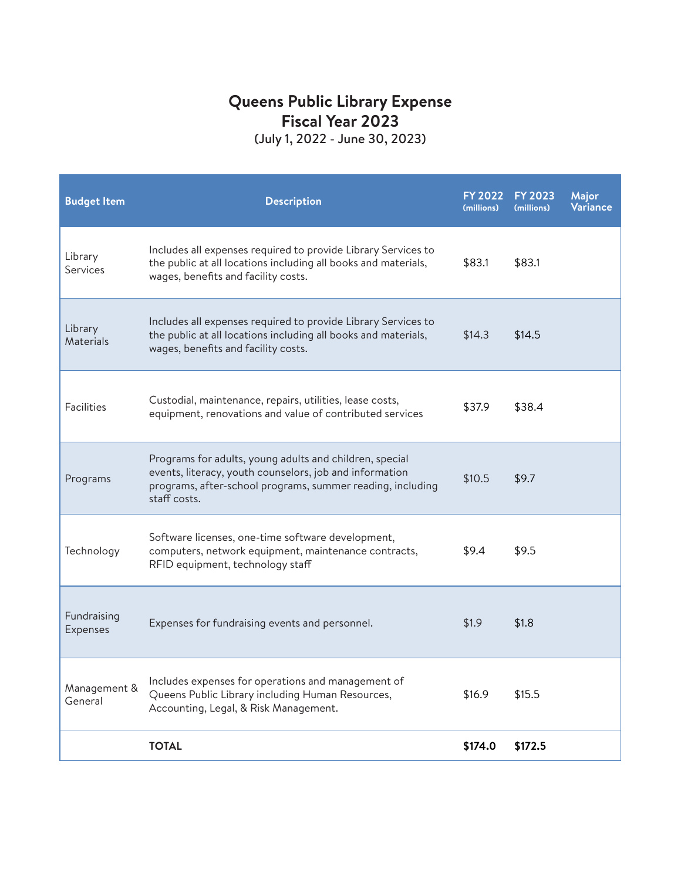#### **Queens Public Library Expense Fiscal Year 2023** (July 1, 2022 - June 30, 2023)

**Budget Item Example 2022 Description (millions) FY 2023 (millions) Major Variance** Library **Services** Includes all expenses required to provide Library Services to the public at all locations including all books and materials, wages, benefits and facility costs. \$83.1 \$83.1 Library **Materials** Includes all expenses required to provide Library Services to the public at all locations including all books and materials, wages, benefits and facility costs. \$14.3 \$14.5 Facilities Custodial, maintenance, repairs, utilities, lease costs, equipment, renovations and value of contributed services  $$37.9$  \$38.4 equipment, renovations and value of contributed services Programs Programs for adults, young adults and children, special events, literacy, youth counselors, job and information programs, after-school programs, summer reading, including staff costs. \$10.5 \$9.7 Technology Software licenses, one-time software development, computers, network equipment, maintenance contracts, RFID equipment, technology staff \$9.4 \$9.5 Fundraising Expenses Expenses for fundraising events and personnel. 51.9 \$1.8 Management & General Includes expenses for operations and management of Queens Public Library including Human Resources, Accounting, Legal, & Risk Management. \$16.9 \$15.5 **TOTAL \$174.0 \$172.5**